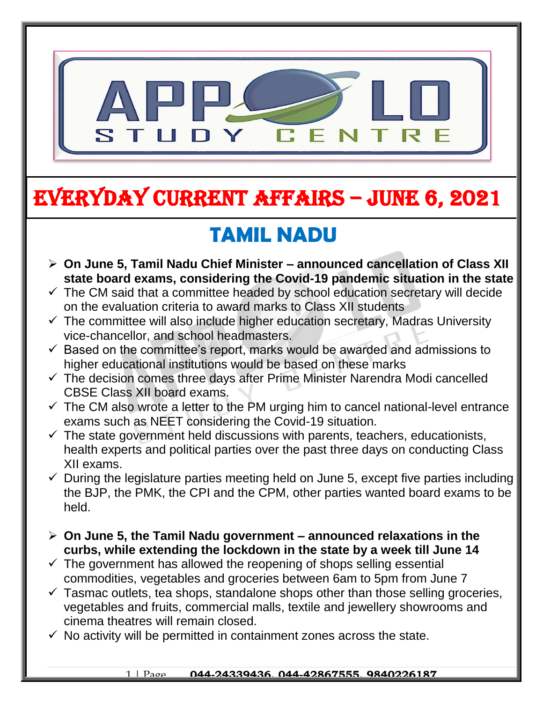

# EVERYDAY CURRENT AFFAIRS – jUNE 6, 2021

-

## **TAMIL NADU**

- **On June 5, Tamil Nadu Chief Minister – announced cancellation of Class XII state board exams, considering the Covid-19 pandemic situation in the state**
- $\checkmark$  The CM said that a committee headed by school education secretary will decide on the evaluation criteria to award marks to Class XII students
- $\checkmark$  The committee will also include higher education secretary, Madras University vice-chancellor, and school headmasters.
- $\checkmark$  Based on the committee's report, marks would be awarded and admissions to higher educational institutions would be based on these marks
- $\checkmark$  The decision comes three days after Prime Minister Narendra Modi cancelled CBSE Class XII board exams.
- $\checkmark$  The CM also wrote a letter to the PM urging him to cancel national-level entrance exams such as NEET considering the Covid-19 situation.
- $\checkmark$  The state government held discussions with parents, teachers, educationists, health experts and political parties over the past three days on conducting Class XII exams.
- $\checkmark$  During the legislature parties meeting held on June 5, except five parties including the BJP, the PMK, the CPI and the CPM, other parties wanted board exams to be held.
- **On June 5, the Tamil Nadu government – announced relaxations in the curbs, while extending the lockdown in the state by a week till June 14**
- $\checkmark$  The government has allowed the reopening of shops selling essential commodities, vegetables and groceries between 6am to 5pm from June 7
- $\checkmark$  Tasmac outlets, tea shops, standalone shops other than those selling groceries, vegetables and fruits, commercial malls, textile and jewellery showrooms and cinema theatres will remain closed.
- $\checkmark$  No activity will be permitted in containment zones across the state.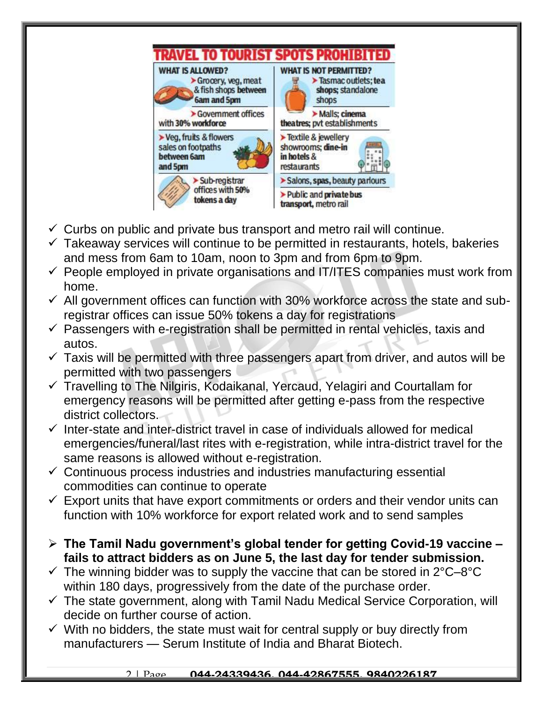

- $\checkmark$  Curbs on public and private bus transport and metro rail will continue.
- $\checkmark$  Takeaway services will continue to be permitted in restaurants, hotels, bakeries and mess from 6am to 10am, noon to 3pm and from 6pm to 9pm.
- $\checkmark$  People employed in private organisations and IT/ITES companies must work from home.
- $\checkmark$  All government offices can function with 30% workforce across the state and subregistrar offices can issue 50% tokens a day for registrations
- $\checkmark$  Passengers with e-registration shall be permitted in rental vehicles, taxis and autos.
- $\checkmark$  Taxis will be permitted with three passengers apart from driver, and autos will be permitted with two passengers
- $\checkmark$  Travelling to The Nilgiris, Kodaikanal, Yercaud, Yelagiri and Courtallam for emergency reasons will be permitted after getting e-pass from the respective district collectors.
- $\checkmark$  Inter-state and inter-district travel in case of individuals allowed for medical emergencies/funeral/last rites with e-registration, while intra-district travel for the same reasons is allowed without e-registration.
- $\checkmark$  Continuous process industries and industries manufacturing essential commodities can continue to operate
- $\checkmark$  Export units that have export commitments or orders and their vendor units can function with 10% workforce for export related work and to send samples
- **The Tamil Nadu government's global tender for getting Covid-19 vaccine – fails to attract bidders as on June 5, the last day for tender submission.**
- $\checkmark$  The winning bidder was to supply the vaccine that can be stored in 2°C–8°C within 180 days, progressively from the date of the purchase order.
- $\checkmark$  The state government, along with Tamil Nadu Medical Service Corporation, will decide on further course of action.
- $\checkmark$  With no bidders, the state must wait for central supply or buy directly from manufacturers — Serum Institute of India and Bharat Biotech.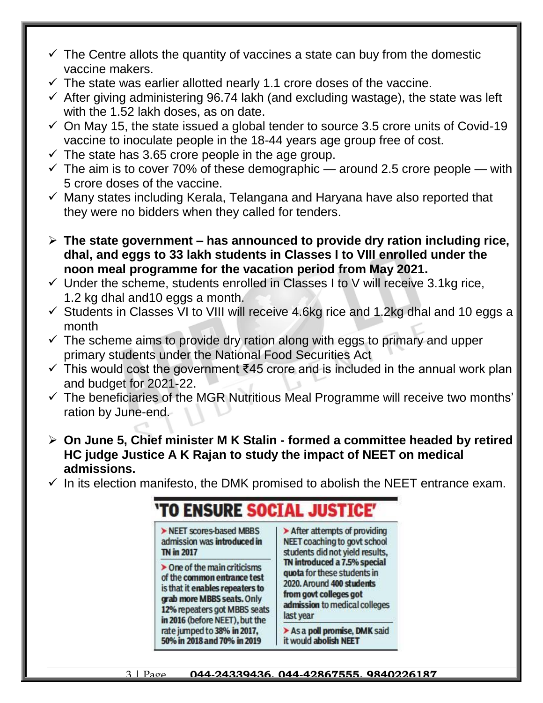- $\checkmark$  The Centre allots the quantity of vaccines a state can buy from the domestic vaccine makers.
- $\checkmark$  The state was earlier allotted nearly 1.1 crore doses of the vaccine.
- $\checkmark$  After giving administering 96.74 lakh (and excluding wastage), the state was left with the 1.52 lakh doses, as on date.
- $\checkmark$  On May 15, the state issued a global tender to source 3.5 crore units of Covid-19 vaccine to inoculate people in the 18-44 years age group free of cost.
- $\checkmark$  The state has 3.65 crore people in the age group.
- $\checkmark$  The aim is to cover 70% of these demographic around 2.5 crore people with 5 crore doses of the vaccine.
- $\checkmark$  Many states including Kerala, Telangana and Haryana have also reported that they were no bidders when they called for tenders.
- **The state government – has announced to provide dry ration including rice, dhal, and eggs to 33 lakh students in Classes I to VIII enrolled under the noon meal programme for the vacation period from May 2021.**
- $\checkmark$  Under the scheme, students enrolled in Classes I to V will receive 3.1kg rice, 1.2 kg dhal and10 eggs a month.
- $\checkmark$  Students in Classes VI to VIII will receive 4.6kg rice and 1.2kg dhal and 10 eggs a month
- $\checkmark$  The scheme aims to provide dry ration along with eggs to primary and upper primary students under the National Food Securities Act
- $\checkmark$  This would cost the government ₹45 crore and is included in the annual work plan and budget for 2021-22.
- $\checkmark$  The beneficiaries of the MGR Nutritious Meal Programme will receive two months' ration by June-end.
- **On June 5, Chief minister M K Stalin - formed a committee headed by retired HC judge Justice A K Rajan to study the impact of NEET on medical admissions.**
- $\checkmark$  In its election manifesto, the DMK promised to abolish the NEET entrance exam.

'TO ENSURE SOCTAL JUSTICE' > NEET scores-based MBBS  $\blacktriangleright$  After attempts of providing admission was introduced in NEET coaching to govt school **TN in 2017** students did not yield results, TN introduced a 7.5% special  $\triangleright$  One of the main criticisms quota for these students in of the common entrance test 2020. Around 400 students is that it enables repeaters to from govt colleges got grab more MBBS seats. Only admission to medical colleges 12% repeaters got MBBS seats last year in 2016 (before NEET), but the rate jumped to 38% in 2017. > As a poll promise, DMK said 50% in 2018 and 70% in 2019 it would abolish NEET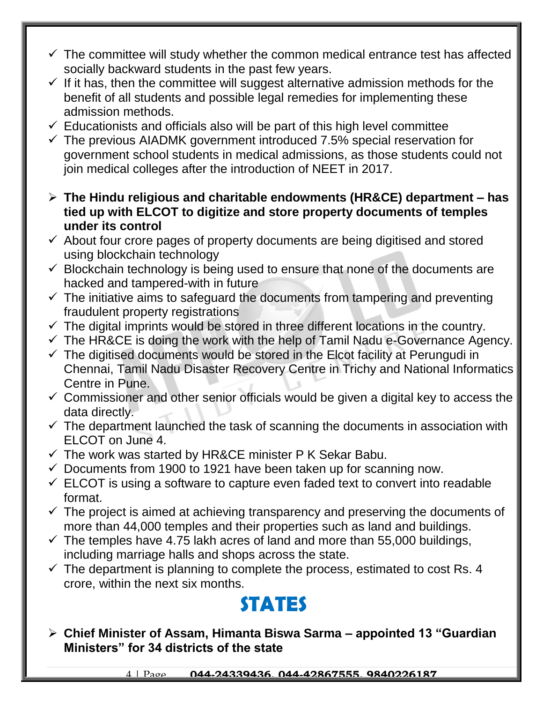- $\checkmark$  The committee will study whether the common medical entrance test has affected socially backward students in the past few years.
- $\checkmark$  If it has, then the committee will suggest alternative admission methods for the benefit of all students and possible legal remedies for implementing these admission methods.
- $\checkmark$  Educationists and officials also will be part of this high level committee
- $\checkmark$  The previous AIADMK government introduced 7.5% special reservation for government school students in medical admissions, as those students could not join medical colleges after the introduction of NEET in 2017.
- **The Hindu religious and charitable endowments (HR&CE) department – has tied up with ELCOT to digitize and store property documents of temples under its control**
- $\checkmark$  About four crore pages of property documents are being digitised and stored using blockchain technology
- $\checkmark$  Blockchain technology is being used to ensure that none of the documents are hacked and tampered-with in future
- $\checkmark$  The initiative aims to safeguard the documents from tampering and preventing fraudulent property registrations
- $\checkmark$  The digital imprints would be stored in three different locations in the country.
- $\checkmark$  The HR&CE is doing the work with the help of Tamil Nadu e-Governance Agency.
- $\checkmark$  The digitised documents would be stored in the Elcot facility at Perungudi in Chennai, Tamil Nadu Disaster Recovery Centre in Trichy and National Informatics Centre in Pune.
- $\checkmark$  Commissioner and other senior officials would be given a digital key to access the data directly.
- $\checkmark$  The department launched the task of scanning the documents in association with ELCOT on June 4.
- $\checkmark$  The work was started by HR&CE minister P K Sekar Babu.
- $\checkmark$  Documents from 1900 to 1921 have been taken up for scanning now.
- $\checkmark$  ELCOT is using a software to capture even faded text to convert into readable format.
- $\checkmark$  The project is aimed at achieving transparency and preserving the documents of more than 44,000 temples and their properties such as land and buildings.
- $\checkmark$  The temples have 4.75 lakh acres of land and more than 55,000 buildings, including marriage halls and shops across the state.
- $\checkmark$  The department is planning to complete the process, estimated to cost Rs. 4 crore, within the next six months.

#### **STATES**

 **Chief Minister of Assam, Himanta Biswa Sarma – appointed 13 "Guardian Ministers" for 34 districts of the state**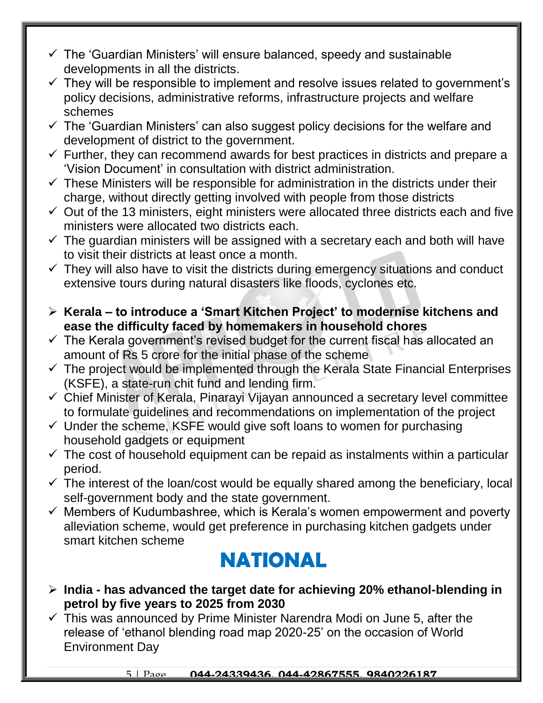- $\checkmark$  The 'Guardian Ministers' will ensure balanced, speedy and sustainable developments in all the districts.
- $\checkmark$  They will be responsible to implement and resolve issues related to government's policy decisions, administrative reforms, infrastructure projects and welfare schemes
- $\checkmark$  The 'Guardian Ministers' can also suggest policy decisions for the welfare and development of district to the government.
- $\checkmark$  Further, they can recommend awards for best practices in districts and prepare a 'Vision Document' in consultation with district administration.
- $\checkmark$  These Ministers will be responsible for administration in the districts under their charge, without directly getting involved with people from those districts
- $\checkmark$  Out of the 13 ministers, eight ministers were allocated three districts each and five ministers were allocated two districts each.
- $\checkmark$  The guardian ministers will be assigned with a secretary each and both will have to visit their districts at least once a month.
- $\checkmark$  They will also have to visit the districts during emergency situations and conduct extensive tours during natural disasters like floods, cyclones etc.
- **Kerala – to introduce a 'Smart Kitchen Project' to modernise kitchens and ease the difficulty faced by homemakers in household chores**
- $\checkmark$  The Kerala government's revised budget for the current fiscal has allocated an amount of Rs 5 crore for the initial phase of the scheme
- $\checkmark$  The project would be implemented through the Kerala State Financial Enterprises (KSFE), a state-run chit fund and lending firm.
- Chief Minister of Kerala, Pinarayi Vijayan announced a secretary level committee to formulate guidelines and recommendations on implementation of the project
- $\checkmark$  Under the scheme, KSFE would give soft loans to women for purchasing household gadgets or equipment
- $\checkmark$  The cost of household equipment can be repaid as instalments within a particular period.
- $\checkmark$  The interest of the loan/cost would be equally shared among the beneficiary, local self-government body and the state government.
- $\checkmark$  Members of Kudumbashree, which is Kerala's women empowerment and poverty alleviation scheme, would get preference in purchasing kitchen gadgets under smart kitchen scheme

### **NATIONAL**

- **India - has advanced the target date for achieving 20% ethanol-blending in petrol by five years to 2025 from 2030**
- $\checkmark$  This was announced by Prime Minister Narendra Modi on June 5, after the release of 'ethanol blending road map 2020-25' on the occasion of World Environment Day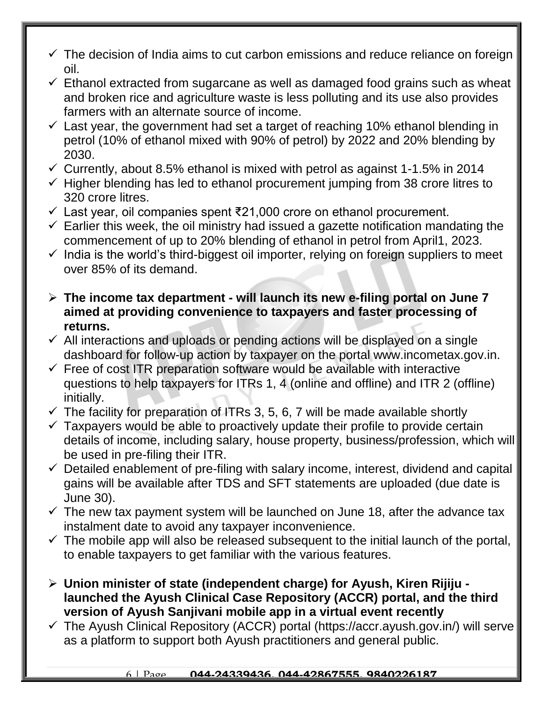- $\checkmark$  The decision of India aims to cut carbon emissions and reduce reliance on foreign oil.
- $\checkmark$  Ethanol extracted from sugarcane as well as damaged food grains such as wheat and broken rice and agriculture waste is less polluting and its use also provides farmers with an alternate source of income.
- $\checkmark$  Last year, the government had set a target of reaching 10% ethanol blending in petrol (10% of ethanol mixed with 90% of petrol) by 2022 and 20% blending by 2030.
- $\checkmark$  Currently, about 8.5% ethanol is mixed with petrol as against 1-1.5% in 2014
- $\checkmark$  Higher blending has led to ethanol procurement jumping from 38 crore litres to 320 crore litres.
- Last year, oil companies spent ₹21,000 crore on ethanol procurement.
- $\checkmark$  Earlier this week, the oil ministry had issued a gazette notification mandating the commencement of up to 20% blending of ethanol in petrol from April1, 2023.
- $\checkmark$  India is the world's third-biggest oil importer, relying on foreign suppliers to meet over 85% of its demand.
- **The income tax department - will launch its new e-filing portal on June 7 aimed at providing convenience to taxpayers and faster processing of returns.**
- $\checkmark$  All interactions and uploads or pending actions will be displayed on a single dashboard for follow-up action by taxpayer on the portal www.incometax.gov.in.
- $\checkmark$  Free of cost ITR preparation software would be available with interactive questions to help taxpayers for ITRs 1, 4 (online and offline) and ITR 2 (offline) initially.
- $\checkmark$  The facility for preparation of ITRs 3, 5, 6, 7 will be made available shortly
- $\checkmark$  Taxpayers would be able to proactively update their profile to provide certain details of income, including salary, house property, business/profession, which will be used in pre-filing their ITR.
- $\checkmark$  Detailed enablement of pre-filing with salary income, interest, dividend and capital gains will be available after TDS and SFT statements are uploaded (due date is June 30).
- $\checkmark$  The new tax payment system will be launched on June 18, after the advance tax instalment date to avoid any taxpayer inconvenience.
- $\checkmark$  The mobile app will also be released subsequent to the initial launch of the portal, to enable taxpayers to get familiar with the various features.
- **Union minister of state (independent charge) for Ayush, Kiren Rijiju launched the Ayush Clinical Case Repository (ACCR) portal, and the third version of Ayush Sanjivani mobile app in a virtual event recently**
- $\checkmark$  The Ayush Clinical Repository (ACCR) portal (https://accr.ayush.gov.in/) will serve as a platform to support both Ayush practitioners and general public.

#### 6 | Page **044-24339436, 044-42867555, 9840226187**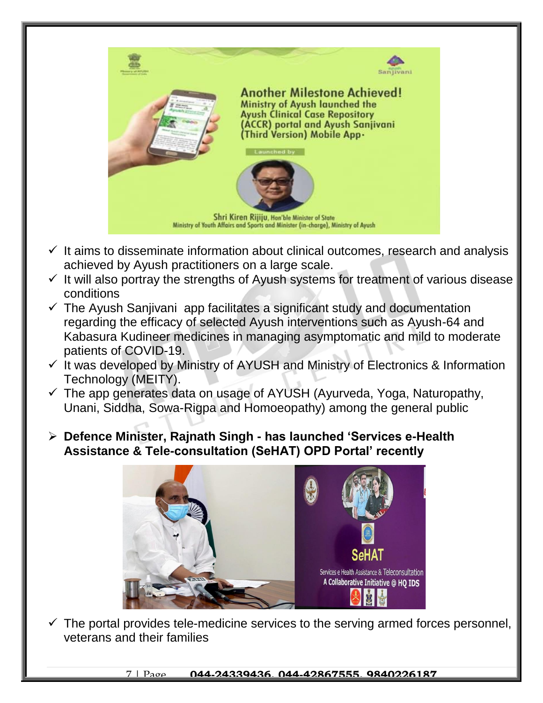

- $\checkmark$  It aims to disseminate information about clinical outcomes, research and analysis achieved by Ayush practitioners on a large scale.
- $\checkmark$  It will also portray the strengths of Ayush systems for treatment of various disease conditions
- $\checkmark$  The Ayush Sanjivani app facilitates a significant study and documentation regarding the efficacy of selected Ayush interventions such as Ayush-64 and Kabasura Kudineer medicines in managing asymptomatic and mild to moderate patients of COVID-19.
- $\checkmark$  It was developed by Ministry of AYUSH and Ministry of Electronics & Information Technology (MEITY).
- $\checkmark$  The app generates data on usage of AYUSH (Ayurveda, Yoga, Naturopathy, Unani, Siddha, Sowa-Rigpa and Homoeopathy) among the general public
- **Defence Minister, Rajnath Singh - has launched 'Services e-Health Assistance & Tele-consultation (SeHAT) OPD Portal' recently**



 $\checkmark$  The portal provides tele-medicine services to the serving armed forces personnel, veterans and their families

7 | Page **044-24339436, 044-42867555, 9840226187**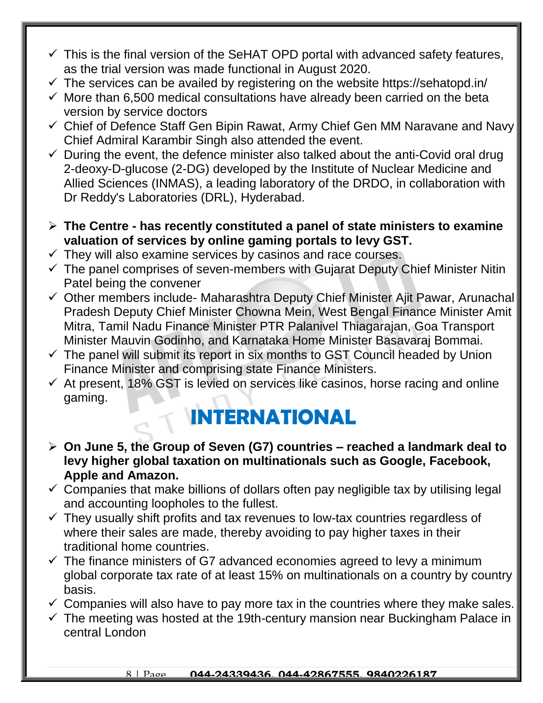- $\checkmark$  This is the final version of the SeHAT OPD portal with advanced safety features, as the trial version was made functional in August 2020.
- $\checkmark$  The services can be availed by registering on the website https://sehatopd.in/
- $\checkmark$  More than 6,500 medical consultations have already been carried on the beta version by service doctors
- Chief of Defence Staff Gen Bipin Rawat, Army Chief Gen MM Naravane and Navy Chief Admiral Karambir Singh also attended the event.
- $\checkmark$  During the event, the defence minister also talked about the anti-Covid oral drug 2-deoxy-D-glucose (2-DG) developed by the Institute of Nuclear Medicine and Allied Sciences (INMAS), a leading laboratory of the DRDO, in collaboration with Dr Reddy's Laboratories (DRL), Hyderabad.
- **The Centre - has recently constituted a panel of state ministers to examine valuation of services by online gaming portals to levy GST.**
- $\checkmark$  They will also examine services by casinos and race courses.
- $\checkmark$  The panel comprises of seven-members with Gujarat Deputy Chief Minister Nitin Patel being the convener
- $\checkmark$  Other members include- Maharashtra Deputy Chief Minister Ajit Pawar, Arunachal Pradesh Deputy Chief Minister Chowna Mein, West Bengal Finance Minister Amit Mitra, Tamil Nadu Finance Minister PTR Palanivel Thiagarajan, Goa Transport Minister Mauvin Godinho, and Karnataka Home Minister Basavaraj Bommai.
- $\checkmark$  The panel will submit its report in six months to GST Council headed by Union Finance Minister and comprising state Finance Ministers.
- $\checkmark$  At present, 18% GST is levied on services like casinos, horse racing and online gaming.

### **INTERNATIONAL**

- **On June 5, the Group of Seven (G7) countries – reached a landmark deal to levy higher global taxation on multinationals such as Google, Facebook, Apple and Amazon.**
- $\checkmark$  Companies that make billions of dollars often pay negligible tax by utilising legal and accounting loopholes to the fullest.
- $\checkmark$  They usually shift profits and tax revenues to low-tax countries regardless of where their sales are made, thereby avoiding to pay higher taxes in their traditional home countries.
- $\checkmark$  The finance ministers of G7 advanced economies agreed to levy a minimum global corporate tax rate of at least 15% on multinationals on a country by country basis.
- $\checkmark$  Companies will also have to pay more tax in the countries where they make sales.
- $\checkmark$  The meeting was hosted at the 19th-century mansion near Buckingham Palace in central London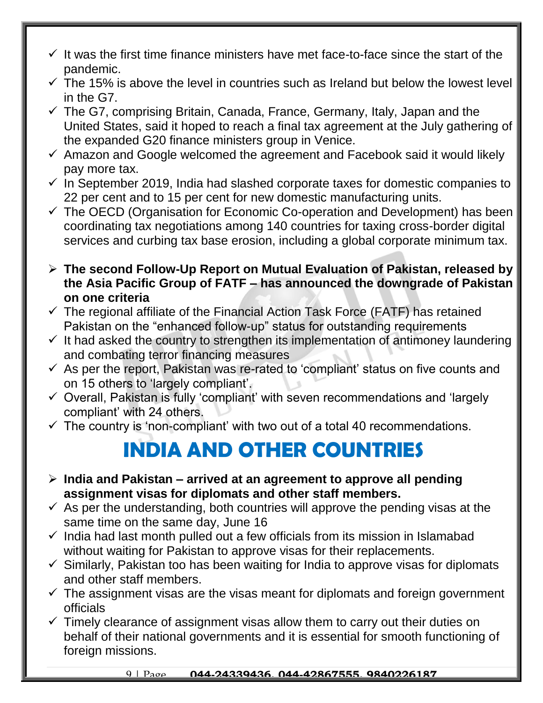- $\checkmark$  It was the first time finance ministers have met face-to-face since the start of the pandemic.
- $\checkmark$  The 15% is above the level in countries such as Ireland but below the lowest level in the G7.
- $\checkmark$  The G7, comprising Britain, Canada, France, Germany, Italy, Japan and the United States, said it hoped to reach a final tax agreement at the July gathering of the expanded G20 finance ministers group in Venice.
- $\checkmark$  Amazon and Google welcomed the agreement and Facebook said it would likely pay more tax.
- $\checkmark$  In September 2019, India had slashed corporate taxes for domestic companies to 22 per cent and to 15 per cent for new domestic manufacturing units.
- $\checkmark$  The OECD (Organisation for Economic Co-operation and Development) has been coordinating tax negotiations among 140 countries for taxing cross-border digital services and curbing tax base erosion, including a global corporate minimum tax.
- **The second Follow-Up Report on Mutual Evaluation of Pakistan, released by the Asia Pacific Group of FATF – has announced the downgrade of Pakistan on one criteria**
- $\checkmark$  The regional affiliate of the Financial Action Task Force (FATF) has retained Pakistan on the "enhanced follow-up" status for outstanding requirements
- $\checkmark$  It had asked the country to strengthen its implementation of antimoney laundering and combating terror financing measures
- $\checkmark$  As per the report, Pakistan was re-rated to 'compliant' status on five counts and on 15 others to 'largely compliant'.
- $\checkmark$  Overall, Pakistan is fully 'compliant' with seven recommendations and 'largely compliant' with 24 others.
- $\checkmark$  The country is 'non-compliant' with two out of a total 40 recommendations.

#### **INDIA AND OTHER COUNTRIES**

- **India and Pakistan – arrived at an agreement to approve all pending assignment visas for diplomats and other staff members.**
- $\checkmark$  As per the understanding, both countries will approve the pending visas at the same time on the same day, June 16
- $\checkmark$  India had last month pulled out a few officials from its mission in Islamabad without waiting for Pakistan to approve visas for their replacements.
- $\checkmark$  Similarly, Pakistan too has been waiting for India to approve visas for diplomats and other staff members.
- $\checkmark$  The assignment visas are the visas meant for diplomats and foreign government officials
- $\checkmark$  Timely clearance of assignment visas allow them to carry out their duties on behalf of their national governments and it is essential for smooth functioning of foreign missions.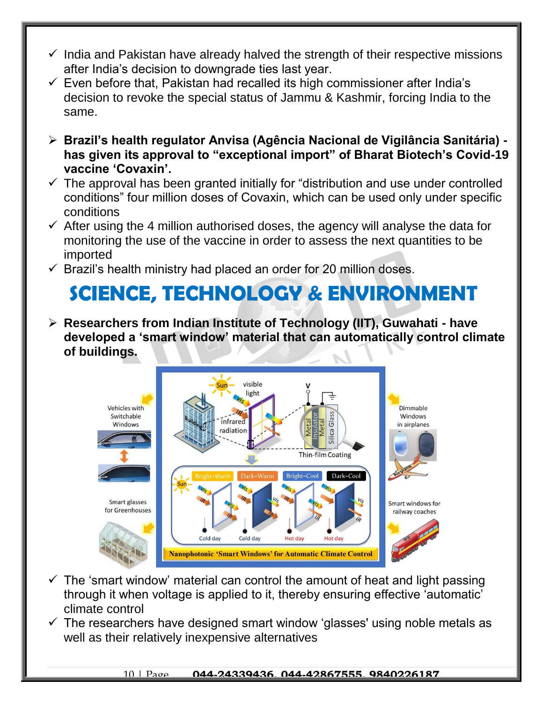- $\checkmark$  India and Pakistan have already halved the strength of their respective missions after India's decision to downgrade ties last year.
- $\checkmark$  Even before that, Pakistan had recalled its high commissioner after India's decision to revoke the special status of Jammu & Kashmir, forcing India to the same.
- **Brazil's health regulator Anvisa (Agência Nacional de Vigilância Sanitária) has given its approval to "exceptional import" of Bharat Biotech's Covid-19 vaccine 'Covaxin'.**
- $\checkmark$  The approval has been granted initially for "distribution and use under controlled conditions" four million doses of Covaxin, which can be used only under specific conditions
- $\checkmark$  After using the 4 million authorised doses, the agency will analyse the data for monitoring the use of the vaccine in order to assess the next quantities to be imported
- $\checkmark$  Brazil's health ministry had placed an order for 20 million doses.

# **SCIENCE, TECHNOLOGY & ENVIRONMENT**

 **Researchers from Indian Institute of Technology (IIT), Guwahati - have developed a 'smart window' material that can automatically control climate of buildings.**



- $\checkmark$  The 'smart window' material can control the amount of heat and light passing through it when voltage is applied to it, thereby ensuring effective 'automatic' climate control
- $\checkmark$  The researchers have designed smart window 'glasses' using noble metals as well as their relatively inexpensive alternatives

#### 10 | Page **044-24339436, 044-42867555, 9840226187**